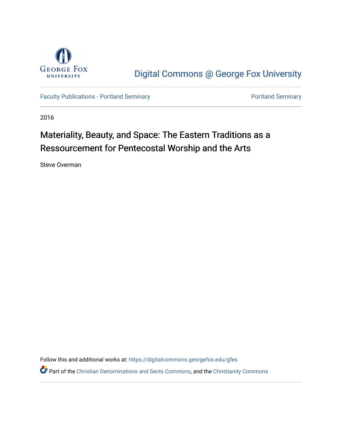

[Digital Commons @ George Fox University](https://digitalcommons.georgefox.edu/) 

[Faculty Publications - Portland Seminary](https://digitalcommons.georgefox.edu/gfes) **Portland Seminary** Portland Seminary

2016

# Materiality, Beauty, and Space: The Eastern Traditions as a Ressourcement for Pentecostal Worship and the Arts

Steve Overman

Follow this and additional works at: [https://digitalcommons.georgefox.edu/gfes](https://digitalcommons.georgefox.edu/gfes?utm_source=digitalcommons.georgefox.edu%2Fgfes%2F145&utm_medium=PDF&utm_campaign=PDFCoverPages)

Part of the [Christian Denominations and Sects Commons,](http://network.bepress.com/hgg/discipline/1184?utm_source=digitalcommons.georgefox.edu%2Fgfes%2F145&utm_medium=PDF&utm_campaign=PDFCoverPages) and the [Christianity Commons](http://network.bepress.com/hgg/discipline/1181?utm_source=digitalcommons.georgefox.edu%2Fgfes%2F145&utm_medium=PDF&utm_campaign=PDFCoverPages)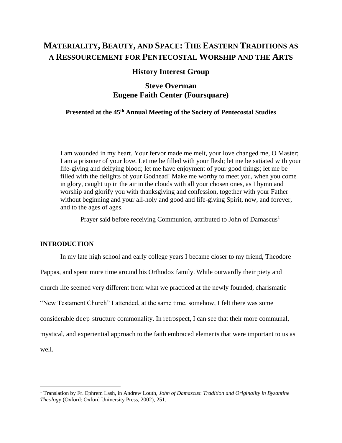# **MATERIALITY, BEAUTY, AND SPACE: THE EASTERN TRADITIONS AS A RESSOURCEMENT FOR PENTECOSTAL WORSHIP AND THE ARTS**

## **History Interest Group**

# **Steve Overman Eugene Faith Center (Foursquare)**

# **Presented at the 45th Annual Meeting of the Society of Pentecostal Studies**

I am wounded in my heart. Your fervor made me melt, your love changed me, O Master; I am a prisoner of your love. Let me be filled with your flesh; let me be satiated with your life-giving and deifying blood; let me have enjoyment of your good things; let me be filled with the delights of your Godhead! Make me worthy to meet you, when you come in glory, caught up in the air in the clouds with all your chosen ones, as I hymn and worship and glorify you with thanksgiving and confession, together with your Father without beginning and your all-holy and good and life-giving Spirit, now, and forever, and to the ages of ages.

Prayer said before receiving Communion, attributed to John of Damascus<sup>1</sup>

#### **INTRODUCTION**

 $\overline{\phantom{a}}$ 

In my late high school and early college years I became closer to my friend, Theodore Pappas, and spent more time around his Orthodox family. While outwardly their piety and church life seemed very different from what we practiced at the newly founded, charismatic "New Testament Church" I attended, at the same time, somehow, I felt there was some considerable deep structure commonality. In retrospect, I can see that their more communal, mystical, and experiential approach to the faith embraced elements that were important to us as well.

<sup>1</sup> Translation by Fr. Ephrem Lash, in Andrew Louth, *John of Damascus*: *Tradition and Originality in Byzantine Theolog*y (Oxford: Oxford University Press, 2002), 251.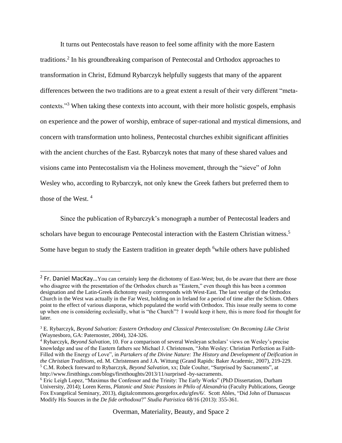It turns out Pentecostals have reason to feel some affinity with the more Eastern traditions. 2 In his groundbreaking comparison of Pentecostal and Orthodox approaches to transformation in Christ, Edmund Rybarczyk helpfully suggests that many of the apparent differences between the two traditions are to a great extent a result of their very different "metacontexts."<sup>3</sup> When taking these contexts into account, with their more holistic gospels, emphasis on experience and the power of worship, embrace of super-rational and mystical dimensions, and concern with transformation unto holiness, Pentecostal churches exhibit significant affinities with the ancient churches of the East. Rybarczyk notes that many of these shared values and visions came into Pentecostalism via the Holiness movement, through the "sieve" of John Wesley who, according to Rybarczyk, not only knew the Greek fathers but preferred them to those of the West. <sup>4</sup>

Since the publication of Rybarczyk's monograph a number of Pentecostal leaders and scholars have begun to encourage Pentecostal interaction with the Eastern Christian witness.<sup>5</sup> Some have begun to study the Eastern tradition in greater depth <sup>6</sup>while others have published

l

<sup>&</sup>lt;sup>2</sup> Fr. Daniel MacKay...You can certainly keep the dichotomy of East-West; but, do be aware that there are those who disagree with the presentation of the Orthodox church as "Eastern," even though this has been a common designation and the Latin-Greek dichotomy easily corresponds with West-East. The last vestige of the Orthodox Church in the West was actually in the Far West, holding on in Ireland for a period of time after the Schism. Others point to the effect of various diasporas, which populated the world with Orthodox. This issue really seems to come up when one is considering ecclesially, what is "the Church"? I would keep it here, this is more food for thought for later.

<sup>3</sup> E. Rybarczyk, *Beyond Salvation: Eastern Orthodoxy and Classical Pentecostalism: On Becoming Like Christ* (Waynesboro, GA: Paternoster, 2004), 324-326.

<sup>4</sup> Rybarczyk, *Beyond Salvation*, 10. For a comparison of several Wesleyan scholars' views on Wesley's precise knowledge and use of the Eastern fathers see Michael J. Christensen, "John Wesley: Christian Perfection as Faith-Filled with the Energy of Love", in *Partakers of the Divine Nature: The History and Development of Deification in the Christian Traditions*, ed. M. Christensen and J.A. Wittung (Grand Rapids: Baker Academic, 2007), 219-229. <sup>5</sup> C.M. Robeck foreward to Rybarczyk, *Beyond Salvation*, xx; Dale Coulter, "Surprised by Sacraments", at http://www.firstthings.com/blogs/firstthoughts/2013/11/surprised -by-sacraments.

<sup>&</sup>lt;sup>6</sup> Eric Leigh Lopez, "Maximus the Confessor and the Trinity: The Early Works" (PhD Dissertation, Durham University, 2014); Loren Kerns, *Platonic and Stoic Passions in Philo of Alexandria* (Faculty Publications, George Fox Evangelical Seminary, 2013), digitalcommons.georgefox.edu/gfes/6/. Scott Ables, "Did John of Damascus Modify His Sources in the *De fide orthodoxa*?" *Studia Patristica* 68/16 (2013): 355-361.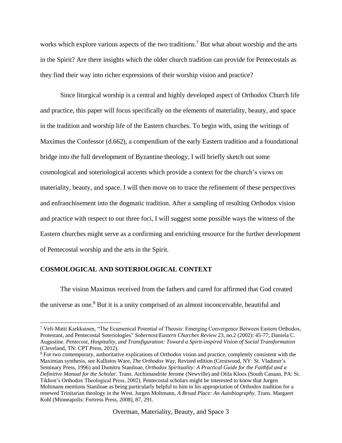works which explore various aspects of the two traditions.<sup>7</sup> But what about worship and the arts in the Spirit? Are there insights which the older church tradition can provide for Pentecostals as they find their way into richer expressions of their worship vision and practice?

Since liturgical worship is a central and highly developed aspect of Orthodox Church life and practice, this paper will focus specifically on the elements of materiality, beauty, and space in the tradition and worship life of the Eastern churches. To begin with, using the writings of Maximus the Confessor (d.662), a compendium of the early Eastern tradition and a foundational bridge into the full development of Byzantine theology, I will briefly sketch out some cosmological and soteriological accents which provide a context for the church's views on materiality, beauty, and space. I will then move on to trace the refinement of these perspectives and enfranchisement into the dogmatic tradition. After a sampling of resulting Orthodox vision and practice with respect to our three foci, I will suggest some possible ways the witness of the Eastern churches might serve as a confirming and enriching resource for the further development of Pentecostal worship and the arts in the Spirit.

## **COSMOLOGICAL AND SOTERIOLOGICAL CONTEXT**

 $\overline{\phantom{a}}$ 

The vision Maximus received from the fathers and cared for affirmed that God created the universe as one.<sup>8</sup> But it is a unity comprised of an almost inconceivable, beautiful and

<sup>7</sup> Veli-Matti Karkkainen, "The Ecumenical Potential of Theosis: Emerging Convergence Between Eastern Orthodox, Protestant, and Pentecostal Soteriologies" *Sobernost/Eastern Churches Review* 23, no.2 (2002): 45-77; Daniela C. Augustine. *Pentecost, Hospitality, and Transfiguration: Toward a Spirit-inspired Vision of Social Transformation* (Cleveland, TN: CPT Press, 2012).

<sup>&</sup>lt;sup>8</sup> For two contemporary, authoritative explications of Orthodox vision and practice, completely consistent with the Maximian synthesis, see Kallistos Ware, *The Orthodox Way*, Revised edition (Crestwood, NY: St. Vladimir's Seminary Press, 1996) and Dumitru Staniloae, *Orthodox Spirituality: A Practical Guide for the Faithful and a Definitive Manual for the Scholar*. Trans. Archimandrite Jerome (Newville) and Otila Kloos (South Canaan, PA: St. Tikhon's Orthodox Theological Press, 2002). Pentecostal scholars might be interested to know that Jurgen Moltmann mentions Staniloae as being particularly helpful to him in his appropriation of Orthodox tradition for a renewed Trinitarian theology in the West. Jurgen Moltmann, *A Broad Place: An Autobiography*. Trans. Margaret Kohl (Minneapolis: Fortress Press, 2008), 87, 291.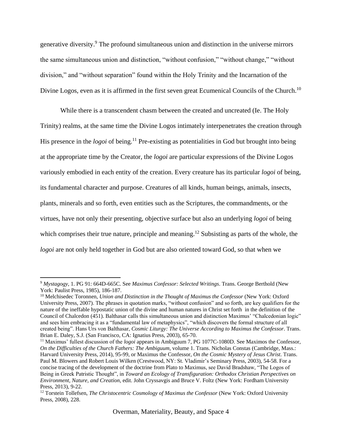generative diversity.<sup>9</sup> The profound simultaneous union and distinction in the universe mirrors the same simultaneous union and distinction, "without confusion," "without change," "without division," and "without separation" found within the Holy Trinity and the Incarnation of the Divine Logos, even as it is affirmed in the first seven great Ecumenical Councils of the Church.<sup>10</sup>

While there is a transcendent chasm between the created and uncreated (Ie. The Holy Trinity) realms, at the same time the Divine Logos intimately interpenetrates the creation through His presence in the *logoi* of being.<sup>11</sup> Pre-existing as potentialities in God but brought into being at the appropriate time by the Creator, the *logoi* are particular expressions of the Divine Logos variously embodied in each entity of the creation. Every creature has its particular *logoi* of being, its fundamental character and purpose. Creatures of all kinds, human beings, animals, insects, plants, minerals and so forth, even entities such as the Scriptures, the commandments, or the virtues, have not only their presenting, objective surface but also an underlying *logoi* of being which comprises their true nature, principle and meaning.<sup>12</sup> Subsisting as parts of the whole, the *logoi* are not only held together in God but are also oriented toward God, so that when we

 $\overline{a}$ 

<sup>9</sup> *Mystagogy*, 1. PG 91: 664D-665C. See *Maximus Confessor: Selected Writings*. Trans. George Berthold (New York: Paulist Press, 1985), 186-187.

<sup>10</sup> Melchisedec Toronnen, *Union and Distinction in the Thought of Maximus the Confessor* (New York: Oxford University Press, 2007). The phrases in quotation marks, "without confusion" and so forth, are key qualifiers for the nature of the ineffable hypostatic union of the divine and human natures in Christ set forth in the definition of the Council of Chalcedon (451). Balthasar calls this simultaneous union and distinction Maximus' "Chalcedonian logic" and sees him embracing it as a "fundamental law of metaphysics", "which discovers the formal structure of all created being". Hans Urs von Balthasar, *Cosmic Liturgy: The Universe According to Maximus the Confessor*. Trans. Brian E. Daley, S.J. (San Francisco, CA: Ignatius Press, 2003), 65-70.

<sup>&</sup>lt;sup>11</sup> Maximus' fullest discussion of the *logoi* appears in Ambiguum 7, PG 1077C-1080D. See Maximos the Confessor, *On the Difficulties of the Church Fathers: The Ambiguum*, volume 1. Trans. Nicholas Constas (Cambridge, Mass.: Harvard University Press, 2014), 95-99, or Maximus the Confessor, *On the Cosmic Mystery of Jesus Christ*. Trans. Paul M. Blowers and Robert Louis Wilken (Crestwood, NY: St. Vladimir's Seminary Press, 2003), 54-58. For a concise tracing of the development of the doctrine from Plato to Maximus, see David Bradshaw, "The Logos of Being in Greek Patristic Thought", in *Toward an Ecology of Transfiguration: Orthodox Christian Perspectives on Environment, Nature, and Creation*, edit. John Cryssavgis and Bruce V. Foltz (New York: Fordham University Press, 2013), 9-22.

<sup>&</sup>lt;sup>12</sup> Torstein Tollefsen, *The Christocentric Cosmology of Maximus the Confessor* (New York: Oxford University Press, 2008), 228.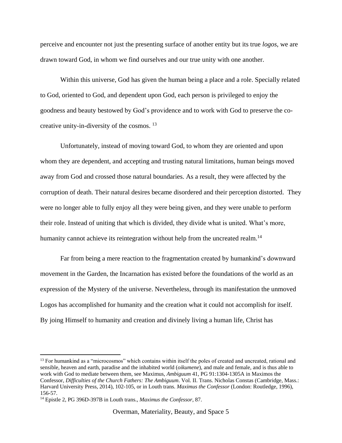perceive and encounter not just the presenting surface of another entity but its true *logos*, we are drawn toward God, in whom we find ourselves and our true unity with one another.

Within this universe, God has given the human being a place and a role. Specially related to God, oriented to God, and dependent upon God, each person is privileged to enjoy the goodness and beauty bestowed by God's providence and to work with God to preserve the cocreative unity-in-diversity of the cosmos. <sup>13</sup>

Unfortunately, instead of moving toward God, to whom they are oriented and upon whom they are dependent, and accepting and trusting natural limitations, human beings moved away from God and crossed those natural boundaries. As a result, they were affected by the corruption of death. Their natural desires became disordered and their perception distorted. They were no longer able to fully enjoy all they were being given, and they were unable to perform their role. Instead of uniting that which is divided, they divide what is united. What's more, humanity cannot achieve its reintegration without help from the uncreated realm.<sup>14</sup>

Far from being a mere reaction to the fragmentation created by humankind's downward movement in the Garden, the Incarnation has existed before the foundations of the world as an expression of the Mystery of the universe. Nevertheless, through its manifestation the unmoved Logos has accomplished for humanity and the creation what it could not accomplish for itself. By joing Himself to humanity and creation and divinely living a human life, Christ has

 $13$  For humankind as a "microcosmos" which contains within itself the poles of created and uncreated, rational and sensible, heaven and earth, paradise and the inhabited world (*oikumene*), and male and female, and is thus able to work with God to mediate between them, see Maximus, *Ambiguum* 41, PG 91:1304-1305A in Maximos the Confessor, *Difficulties of the Church Fathers: The Ambiguum*. Vol. II. Trans. Nicholas Constas (Cambridge, Mass.: Harvard University Press, 2014), 102-105, or in Louth trans. *Maximus the Confessor* (London: Routledge, 1996), 156-57.

<sup>14</sup> Epistle 2, PG 396D-397B in Louth trans., *Maximus the Confessor*, 87.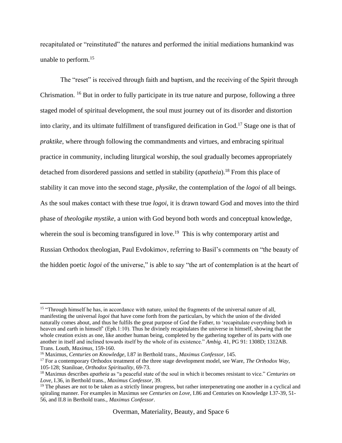recapitulated or "reinstituted" the natures and performed the initial mediations humankind was unable to perform.<sup>15</sup>

The "reset" is received through faith and baptism, and the receiving of the Spirit through Chrismation. <sup>16</sup> But in order to fully participate in its true nature and purpose, following a three staged model of spiritual development, the soul must journey out of its disorder and distortion into clarity, and its ultimate fulfillment of transfigured deification in God.<sup>17</sup> Stage one is that of *praktike*, where through following the commandments and virtues, and embracing spiritual practice in community, including liturgical worship, the soul gradually becomes appropriately detached from disordered passions and settled in stability (*apatheia*). <sup>18</sup> From this place of stability it can move into the second stage, *physike*, the contemplation of the *logoi* of all beings. As the soul makes contact with these true *logoi*, it is drawn toward God and moves into the third phase of *theologike mystike*, a union with God beyond both words and conceptual knowledge, wherein the soul is becoming transfigured in love.<sup>19</sup> This is why contemporary artist and Russian Orthodox theologian, Paul Evdokimov, referring to Basil's comments on "the beauty of the hidden poetic *logoi* of the universe," is able to say "the art of contemplation is at the heart of

<sup>&</sup>lt;sup>15</sup> "Through himself he has, in accordance with nature, united the fragments of the universal nature of all, manifesting the universal *logoi* that have come forth from the particulars, by which the union of the divided naturally comes about, and thus he fulfils the great purpose of God the Father, to 'recapitulate everything both in heaven and earth in himself' (Eph.1:10). Thus he divinely recapitulates the universe in himself, showing that the whole creation exists as one, like another human being, completed by the gathering together of its parts with one another in itself and inclined towards itself by the whole of its existence." *Ambig*. 41, PG 91: 1308D; 1312AB. Trans. Louth, *Maximus*, 159-160.

<sup>16</sup> Maximus, *Centuries on Knowledge*, I.87 in Berthold trans., *Maximus Confessor*, 145.

<sup>17</sup> For a contemporary Orthodox treatment of the three stage development model, see Ware, *The Orthodox Way*, 105-128; Staniloae, *Orthodox Spirituality*, 69-73.

<sup>18</sup> Maximus describes *apatheia* as "a peaceful state of the soul in which it becomes resistant to vice." *Centuries on Love*, I.36*,* in Berthold trans*., Maximus Confessor,* 39.

 $19$  The phases are not to be taken as a strictly linear progress, but rather interpenetrating one another in a cyclical and spiraling manner. For examples in Maximus see *Centuries on Love*, I.86 and Centuries on Knowledge I.37-39, 51- 56, and II.8 in Berthold trans., *Maximus Confessor*.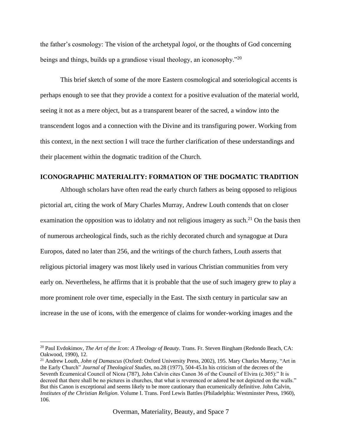the father's cosmology: The vision of the archetypal *logoi,* or the thoughts of God concerning beings and things, builds up a grandiose visual theology, an iconosophy.<sup>"20</sup>

This brief sketch of some of the more Eastern cosmological and soteriological accents is perhaps enough to see that they provide a context for a positive evaluation of the material world, seeing it not as a mere object, but as a transparent bearer of the sacred, a window into the transcendent logos and a connection with the Divine and its transfiguring power. Working from this context, in the next section I will trace the further clarification of these understandings and their placement within the dogmatic tradition of the Church.

## **ICONOGRAPHIC MATERIALITY: FORMATION OF THE DOGMATIC TRADITION**

Although scholars have often read the early church fathers as being opposed to religious pictorial art, citing the work of Mary Charles Murray, Andrew Louth contends that on closer examination the opposition was to idolatry and not religious imagery as such.<sup>21</sup> On the basis then of numerous archeological finds, such as the richly decorated church and synagogue at Dura Europos, dated no later than 256, and the writings of the church fathers, Louth asserts that religious pictorial imagery was most likely used in various Christian communities from very early on. Nevertheless, he affirms that it is probable that the use of such imagery grew to play a more prominent role over time, especially in the East. The sixth century in particular saw an increase in the use of icons, with the emergence of claims for wonder-working images and the

<sup>&</sup>lt;sup>20</sup> Paul Evdokimov, *The Art of the Icon: A Theology of Beauty*. Trans. Fr. Steven Bingham (Redondo Beach, CA: Oakwood, 1990), 12.

<sup>21</sup> Andrew Louth, *John of Damascus* (Oxford: Oxford University Press, 2002), 195. Mary Charles Murray, "Art in the Early Church" *Journal of Theological Studies*, no.28 (1977), 504-45.In his criticism of the decrees of the Seventh Ecumenical Council of Nicea (787), John Calvin cites Canon 36 of the Council of Elvira (c.305):" It is decreed that there shall be no pictures in churches, that what is reverenced or adored be not depicted on the walls." But this Canon is exceptional and seems likely to be more cautionary than ecumenically definitive. John Calvin, *Institutes of the Christian Religion*. Volume I. Trans. Ford Lewis Battles (Philadelphia: Westminster Press, 1960), 106.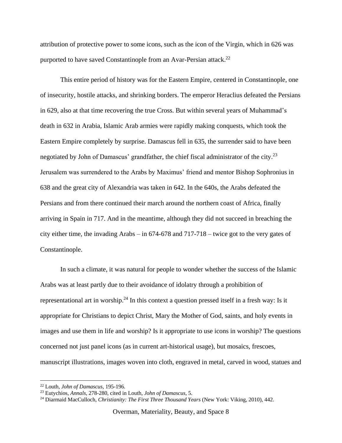attribution of protective power to some icons, such as the icon of the Virgin, which in 626 was purported to have saved Constantinople from an Avar-Persian attack.<sup>22</sup>

This entire period of history was for the Eastern Empire, centered in Constantinople, one of insecurity, hostile attacks, and shrinking borders. The emperor Heraclius defeated the Persians in 629, also at that time recovering the true Cross. But within several years of Muhammad's death in 632 in Arabia, Islamic Arab armies were rapidly making conquests, which took the Eastern Empire completely by surprise. Damascus fell in 635, the surrender said to have been negotiated by John of Damascus' grandfather, the chief fiscal administrator of the city.<sup>23</sup> Jerusalem was surrendered to the Arabs by Maximus' friend and mentor Bishop Sophronius in 638 and the great city of Alexandria was taken in 642. In the 640s, the Arabs defeated the Persians and from there continued their march around the northern coast of Africa, finally arriving in Spain in 717. And in the meantime, although they did not succeed in breaching the city either time, the invading Arabs – in 674-678 and 717-718 – twice got to the very gates of Constantinople.

In such a climate, it was natural for people to wonder whether the success of the Islamic Arabs was at least partly due to their avoidance of idolatry through a prohibition of representational art in worship.<sup>24</sup> In this context a question pressed itself in a fresh way: Is it appropriate for Christians to depict Christ, Mary the Mother of God, saints, and holy events in images and use them in life and worship? Is it appropriate to use icons in worship? The questions concerned not just panel icons (as in current art-historical usage), but mosaics, frescoes, manuscript illustrations, images woven into cloth, engraved in metal, carved in wood, statues and

<sup>22</sup> Louth, *John of Damascus*, 195-196.

<sup>23</sup> Eutychios, *Annals,* 278-280, cited in Louth, *John of Damascus*, 5.

<sup>24</sup> Diarmaid MacCulloch, *Christianity: The First Three Thousand Years* (New York: Viking, 2010), 442.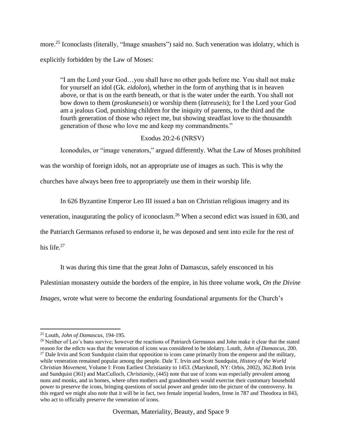more.<sup>25</sup> Iconoclasts (literally, "Image smashers") said no. Such veneration was idolatry, which is explicitly forbidden by the Law of Moses:

"I am the Lord your God…you shall have no other gods before me. You shall not make for yourself an idol (Gk. *eidolon*), whether in the form of anything that is in heaven above, or that is on the earth beneath, or that is the water under the earth. You shall not bow down to them (*proskuneseis*) or worship them (*latreuseis*); for I the Lord your God am a jealous God, punishing children for the iniquity of parents, to the third and the fourth generation of those who reject me, but showing steadfast love to the thousandth generation of those who love me and keep my commandments."

## Exodus 20:2-6 (NRSV)

Iconodules, or "image venerators," argued differently. What the Law of Moses prohibited

was the worship of foreign idols, not an appropriate use of images as such. This is why the

churches have always been free to appropriately use them in their worship life.

In 626 Byzantine Emperor Leo III issued a ban on Christian religious imagery and its

veneration, inaugurating the policy of iconoclasm.<sup>26</sup> When a second edict was issued in 630, and

the Patriarch Germanos refused to endorse it, he was deposed and sent into exile for the rest of

his life.<sup>27</sup>

It was during this time that the great John of Damascus, safely ensconced in his

Palestinian monastery outside the borders of the empire, in his three volume work, *On the Divine* 

*Images,* wrote what were to become the enduring foundational arguments for the Church's

 $\overline{\phantom{a}}$ <sup>25</sup> Louth, *John of Damascus*, 194-195.

<sup>&</sup>lt;sup>26</sup> Neither of Leo's bans survive; however the reactions of Patriarch Germanos and John make it clear that the stated reason for the edicts was that the veneration of icons was considered to be idolatry. Louth, *John of Damascus*, 200.  $27$  Dale Irvin and Scott Sundquist claim that opposition to icons came primarily from the emperor and the military, while veneration remained popular among the people. Dale T. Irvin and Scott Sundquist, *History of the World Christian Movement*, Volume I: From Earliest Christianity to 1453. (Maryknoll, NY: Orbis, 2002), 362.Both Irvin and Sundquist (361) and MacCulloch, *Christianity*, (445) note that use of icons was especially prevalent among nuns and monks, and in homes, where often mothers and grandmothers would exercise their customary household power to preserve the icons, bringing questions of social power and gender into the picture of the controversy. In this regard we might also note that it will be in fact, two female imperial leaders, Irene in 787 and Theodora in 843, who act to officially preserve the veneration of icons.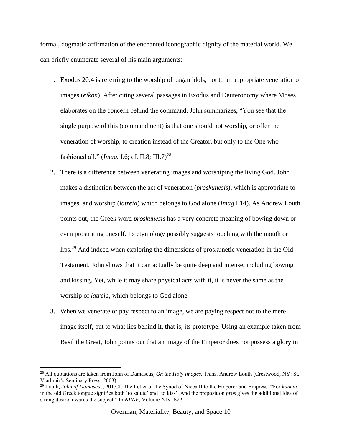formal, dogmatic affirmation of the enchanted iconographic dignity of the material world. We can briefly enumerate several of his main arguments:

- 1. Exodus 20:4 is referring to the worship of pagan idols, not to an appropriate veneration of images (*eikon*). After citing several passages in Exodus and Deuteronomy where Moses elaborates on the concern behind the command, John summarizes, "You see that the single purpose of this (commandment) is that one should not worship, or offer the veneration of worship, to creation instead of the Creator, but only to the One who fashioned all." (*Imag.* I.6; cf. II.8; III.7)<sup>28</sup>
- 2. There is a difference between venerating images and worshiping the living God. John makes a distinction between the act of veneration (*proskunesis*), which is appropriate to images, and worship (*latreia*) which belongs to God alone (*Imag*.I.14). As Andrew Louth points out, the Greek word *proskunesis* has a very concrete meaning of bowing down or even prostrating oneself. Its etymology possibly suggests touching with the mouth or lips.<sup>29</sup> And indeed when exploring the dimensions of proskunetic veneration in the Old Testament, John shows that it can actually be quite deep and intense, including bowing and kissing. Yet, while it may share physical acts with it, it is never the same as the worship of *latreia*, which belongs to God alone.
- 3. When we venerate or pay respect to an image, we are paying respect not to the mere image itself, but to what lies behind it, that is, its prototype. Using an example taken from Basil the Great, John points out that an image of the Emperor does not possess a glory in

<sup>28</sup> All quotations are taken from John of Damascus, *On the Holy Images*. Trans. Andrew Louth (Crestwood, NY: St. Vladimir's Seminary Press, 2003).

<sup>29</sup> Louth, *John of Damascus*, 201.Cf. The Letter of the Synod of Nicea II to the Emperor and Empress: "For *kunein* in the old Greek tongue signifies both 'to salute' and 'to kiss'. And the preposition *pros* gives the additional idea of strong desire towards the subject." In *NPNF*, Volume XIV, 572.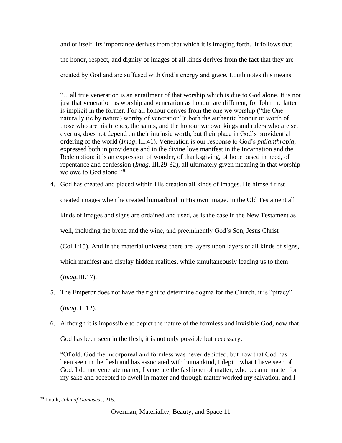and of itself. Its importance derives from that which it is imaging forth. It follows that the honor, respect, and dignity of images of all kinds derives from the fact that they are created by God and are suffused with God's energy and grace. Louth notes this means,

"…all true veneration is an entailment of that worship which is due to God alone. It is not just that veneration as worship and veneration as honour are different; for John the latter is implicit in the former. For all honour derives from the one we worship ("the One naturally (ie by nature) worthy of veneration"): both the authentic honour or worth of those who are his friends, the saints, and the honour we owe kings and rulers who are set over us, does not depend on their intrinsic worth, but their place in God's providential ordering of the world (*Imag*. III.41). Veneration is our response to God's *philanthropia*, expressed both in providence and in the divine love manifest in the Incarnation and the Redemption: it is an expression of wonder, of thanksgiving, of hope based in need, of repentance and confession (*Imag*. III.29-32), all ultimately given meaning in that worship we owe to God alone." $30$ 

4. God has created and placed within His creation all kinds of images. He himself first created images when he created humankind in His own image. In the Old Testament all kinds of images and signs are ordained and used, as is the case in the New Testament as well, including the bread and the wine, and preeminently God's Son, Jesus Christ (Col.1:15). And in the material universe there are layers upon layers of all kinds of signs, which manifest and display hidden realities, while simultaneously leading us to them (*Imag.*III.17).

5. The Emperor does not have the right to determine dogma for the Church, it is "piracy" (*Imag*. II.12).

6. Although it is impossible to depict the nature of the formless and invisible God, now that God has been seen in the flesh, it is not only possible but necessary:

"Of old, God the incorporeal and formless was never depicted, but now that God has been seen in the flesh and has associated with humankind, I depict what I have seen of God. I do not venerate matter, I venerate the fashioner of matter, who became matter for my sake and accepted to dwell in matter and through matter worked my salvation, and I

 $\overline{\phantom{a}}$ <sup>30</sup> Louth, *John of Damascus*, 215.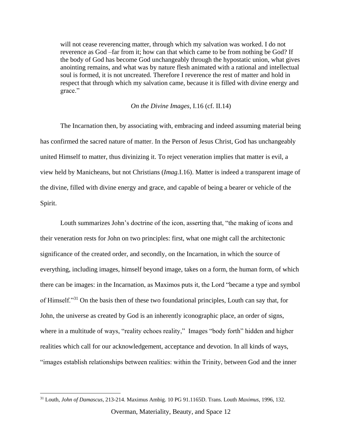will not cease reverencing matter, through which my salvation was worked. I do not reverence as God –far from it; how can that which came to be from nothing be God? If the body of God has become God unchangeably through the hypostatic union, what gives anointing remains, and what was by nature flesh animated with a rational and intellectual soul is formed, it is not uncreated. Therefore I reverence the rest of matter and hold in respect that through which my salvation came, because it is filled with divine energy and grace."

#### *On the Divine Images*, I.16 (cf. II.14)

The Incarnation then, by associating with, embracing and indeed assuming material being has confirmed the sacred nature of matter. In the Person of Jesus Christ, God has unchangeably united Himself to matter, thus divinizing it. To reject veneration implies that matter is evil, a view held by Manicheans, but not Christians (*Imag.*I.16). Matter is indeed a transparent image of the divine, filled with divine energy and grace, and capable of being a bearer or vehicle of the Spirit.

Louth summarizes John's doctrine of the icon, asserting that, "the making of icons and their veneration rests for John on two principles: first, what one might call the architectonic significance of the created order, and secondly, on the Incarnation, in which the source of everything, including images, himself beyond image, takes on a form, the human form, of which there can be images: in the Incarnation, as Maximos puts it, the Lord "became a type and symbol of Himself."<sup>31</sup> On the basis then of these two foundational principles, Louth can say that, for John, the universe as created by God is an inherently iconographic place, an order of signs, where in a multitude of ways, "reality echoes reality," Images "body forth" hidden and higher realities which call for our acknowledgement, acceptance and devotion. In all kinds of ways, "images establish relationships between realities: within the Trinity, between God and the inner

 $\overline{\phantom{a}}$ 

Overman, Materiality, Beauty, and Space 12

<sup>31</sup> Louth, *John of Damascus*, 213-214. Maximus Ambig. 10 PG 91.1165D. Trans. Louth *Maximus*, 1996, 132.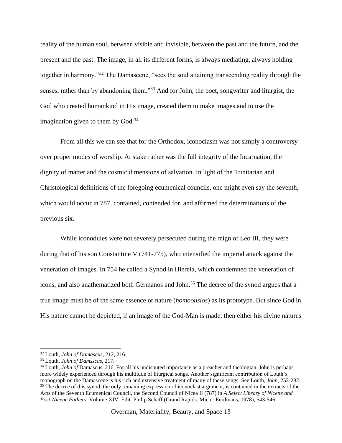reality of the human soul, between visible and invisible, between the past and the future, and the present and the past. The image, in all its different forms, is always mediating, always holding together in harmony."<sup>32</sup> The Damascene, "sees the soul attaining transcending reality through the senses, rather than by abandoning them."<sup>33</sup> And for John, the poet, songwriter and liturgist, the God who created humankind in His image, created them to make images and to use the imagination given to them by  $God.<sup>34</sup>$ 

From all this we can see that for the Orthodox, iconoclasm was not simply a controversy over proper modes of worship. At stake rather was the full integrity of the Incarnation, the dignity of matter and the cosmic dimensions of salvation. In light of the Trinitarian and Christological definitions of the foregoing ecumenical councils, one might even say the seventh, which would occur in 787, contained, contended for, and affirmed the determinations of the previous six.

While iconodules were not severely persecuted during the reign of Leo III, they were during that of his son Constantine V (741-775), who intensified the imperial attack against the veneration of images. In 754 he called a Synod in Hiereia, which condemned the veneration of icons, and also anathematized both Germanos and John.<sup>35</sup> The decree of the synod argues that a true image must be of the same essence or nature (*homoousios*) as its prototype. But since God in His nature cannot be depicted, if an image of the God-Man is made, then either his divine natures

<sup>32</sup> Louth, *John of Damascus*, 212, 216.

<sup>33</sup> Louth, *John of Damsscus*, 217.

<sup>34</sup> Louth, *John of* Damascus, 216. For all his undisputed importance as a preacher and theologian, John is perhaps more widely experienced through his multitude of liturgical songs. Another significant contribution of Louth's monograph on the Damascene is his rich and extensive treatment of many of these songs. See Louth, *John*, 252-282. <sup>35</sup> The decree of this synod, the only remaining expression of iconoclast argument, is contained in the extracts of the Acts of the Seventh Ecumenical Council, the Second Council of Nicea II (787) in *A Select Library of Nicene and Post-Nicene Fathers*. Volume XIV. Edit. Philip Schaff (Grand Rapids. Mich.: Eerdmans, 1978), 543-546.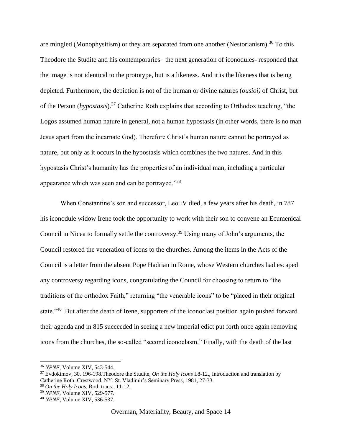are mingled (Monophysitism) or they are separated from one another (Nestorianism).<sup>36</sup> To this Theodore the Studite and his contemporaries –the next generation of iconodules- responded that the image is not identical to the prototype, but is a likeness. And it is the likeness that is being depicted. Furthermore, the depiction is not of the human or divine natures (*ousioi)* of Christ, but of the Person (*hypostasis*).<sup>37</sup> Catherine Roth explains that according to Orthodox teaching, "the Logos assumed human nature in general, not a human hypostasis (in other words, there is no man Jesus apart from the incarnate God). Therefore Christ's human nature cannot be portrayed as nature, but only as it occurs in the hypostasis which combines the two natures. And in this hypostasis Christ's humanity has the properties of an individual man, including a particular appearance which was seen and can be portrayed."<sup>38</sup>

When Constantine's son and successor, Leo IV died, a few years after his death, in 787 his iconodule widow Irene took the opportunity to work with their son to convene an Ecumenical Council in Nicea to formally settle the controversy.<sup>39</sup> Using many of John's arguments, the Council restored the veneration of icons to the churches. Among the items in the Acts of the Council is a letter from the absent Pope Hadrian in Rome, whose Western churches had escaped any controversy regarding icons, congratulating the Council for choosing to return to "the traditions of the orthodox Faith," returning "the venerable icons" to be "placed in their original state."<sup>40</sup> But after the death of Irene, supporters of the iconoclast position again pushed forward their agenda and in 815 succeeded in seeing a new imperial edict put forth once again removing icons from the churches, the so-called "second iconoclasm." Finally, with the death of the last

<sup>36</sup> *NPNF*, Volume XIV, 543-544.

<sup>37</sup> Evdokimov, 30. 196-198.Theodore the Studite, *On the Holy Icons* I.8-12., Introduction and translation by Catherine Roth .Crestwood, NY: St. Vladimir's Seminary Press, 1981, 27-33.

<sup>38</sup> *On the Holy Icons*, Roth trans., 11-12.

<sup>39</sup> *NPNF*, Volume XIV, 529-577.

<sup>40</sup> *NPNF*, Volume XIV, 536-537.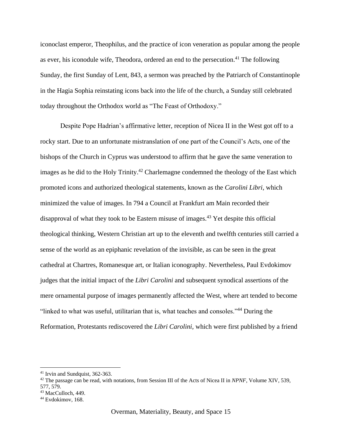iconoclast emperor, Theophilus, and the practice of icon veneration as popular among the people as ever, his iconodule wife, Theodora, ordered an end to the persecution.<sup>41</sup> The following Sunday, the first Sunday of Lent, 843, a sermon was preached by the Patriarch of Constantinople in the Hagia Sophia reinstating icons back into the life of the church, a Sunday still celebrated today throughout the Orthodox world as "The Feast of Orthodoxy."

Despite Pope Hadrian's affirmative letter, reception of Nicea II in the West got off to a rocky start. Due to an unfortunate mistranslation of one part of the Council's Acts, one of the bishops of the Church in Cyprus was understood to affirm that he gave the same veneration to images as he did to the Holy Trinity.<sup>42</sup> Charlemagne condemned the theology of the East which promoted icons and authorized theological statements, known as the *Carolini Libri,* which minimized the value of images. In 794 a Council at Frankfurt am Main recorded their disapproval of what they took to be Eastern misuse of images.<sup>43</sup> Yet despite this official theological thinking, Western Christian art up to the eleventh and twelfth centuries still carried a sense of the world as an epiphanic revelation of the invisible, as can be seen in the great cathedral at Chartres, Romanesque art, or Italian iconography. Nevertheless, Paul Evdokimov judges that the initial impact of the *Libri Carolini* and subsequent synodical assertions of the mere ornamental purpose of images permanently affected the West, where art tended to become "linked to what was useful, utilitarian that is, what teaches and consoles."<sup>44</sup> During the Reformation, Protestants rediscovered the *Libri Carolini,* which were first published by a friend

<sup>41</sup> Irvin and Sundquist, 362-363.

<sup>42</sup> The passage can be read, with notations, from Session III of the Acts of Nicea II in *NPNF*, Volume XIV, 539, 577, 579.

<sup>43</sup> MacCulloch, 449.

<sup>44</sup> Evdokimov, 168.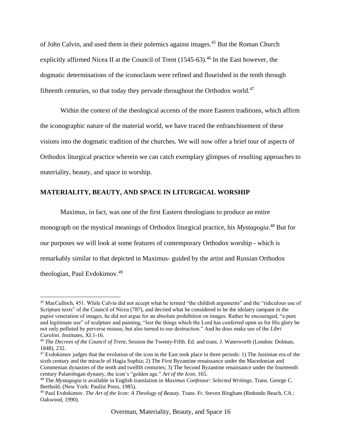of John Calvin, and used them in their polemics against images.<sup>45</sup> But the Roman Church explicitly affirmed Nicea II at the Council of Trent (1545-63).<sup>46</sup> In the East however, the dogmatic determinations of the iconoclasm were refined and flourished in the tenth through fifteenth centuries, so that today they pervade throughout the Orthodox world.<sup>47</sup>

Within the context of the theological accents of the more Eastern traditions, which affirm the iconographic nature of the material world, we have traced the enfranchisement of these visions into the dogmatic tradition of the churches. We will now offer a brief tour of aspects of Orthodox liturgical practice wherein we can catch exemplary glimpses of resulting approaches to materiality, beauty, and space in worship.

## **MATERIALITY, BEAUTY, AND SPACE IN LITURGICAL WORSHIP**

 $\overline{a}$ 

Maximus, in fact, was one of the first Eastern theologians to produce an entire monograph on the mystical meanings of Orthodox liturgical practice, his *Mystagogia*. <sup>48</sup> But for our purposes we will look at some features of contemporary Orthodox worship - which is remarkably similar to that depicted in Maximus- guided by the artist and Russian Orthodox theologian, Paul Evdokimov.<sup>49</sup>

<sup>45</sup> MacCulloch, 451. While Calvin did not accept what he termed "the childish arguments" and the "ridiculous use of Scripture texts" of the Council of Nicea (787), and decried what he considered to be the idolatry rampant in the papist veneration of images, he did not argue for an absolute prohibition on images. Rather he encouraged, "a pure and legitimate use" of sculpture and painting, "lest the things which the Lord has conferred upon us for His glory be not only polluted by perverse misuse, but also turned to our destruction." And he does make use of the *Libri Carolini*. *Institutes,* XI.1-16.

<sup>46</sup> *The Decrees of the Council of Trent*, Session the Twenty-Fifth. Ed. and trans. J. Waterworth (London: Dolman, 1848), 232.

 $47$  Evdokimov judges that the evolution of the icon in the East took place in three periods: 1) The Justinian era of the sixth century and the miracle of Hagia Sophia; 2) The First Byzantine renaissance under the Macedonian and Commenian dynasties of the tenth and twelfth centuries; 3) The Second Byzantine renaissance under the fourteenth century Palaeologan dynasty, the icon's "golden age." *Art of the Icon*, 165.

<sup>48</sup> The *Mystagogia* is available in English translation in *Maximus Confessor: Selected Writings*. Trans. George C. Berthold. (New York: Paulist Press, 1985).

<sup>49</sup> Paul Evdokimov. *The Art of the Icon: A Theology of Beauty*. Trans. Fr. Steven Bingham (Redondo Beach, CA.: Oakwood, 1990).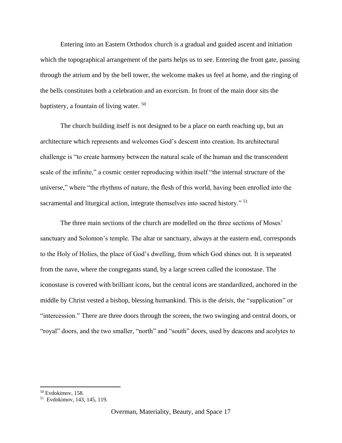Entering into an Eastern Orthodox church is a gradual and guided ascent and initiation which the topographical arrangement of the parts helps us to see. Entering the front gate, passing through the atrium and by the bell tower, the welcome makes us feel at home, and the ringing of the bells constitutes both a celebration and an exorcism. In front of the main door sits the baptistery, a fountain of living water. <sup>50</sup>

The church building itself is not designed to be a place on earth reaching up, but an architecture which represents and welcomes God's descent into creation. Its architectural challenge is "to create harmony between the natural scale of the human and the transcendent scale of the infinite," a cosmic center reproducing within itself "the internal structure of the universe," where "the rhythms of nature, the flesh of this world, having been enrolled into the sacramental and liturgical action, integrate themselves into sacred history."<sup>51</sup>

The three main sections of the church are modelled on the three sections of Moses' sanctuary and Solomon's temple. The altar or sanctuary, always at the eastern end, corresponds to the Holy of Holies, the place of God's dwelling, from which God shines out. It is separated from the nave, where the congregants stand, by a large screen called the iconostase. The iconostase is covered with brilliant icons, but the central icons are standardized, anchored in the middle by Christ vested a bishop, blessing humankind. This is the *deisis*, the "supplication" or "intercession." There are three doors through the screen, the two swinging and central doors, or "royal" doors, and the two smaller, "north" and "south" doors, used by deacons and acolytes to

<sup>50</sup> Evdokimov, 158.

<sup>51</sup> Evdokimov, 143, 145, 119.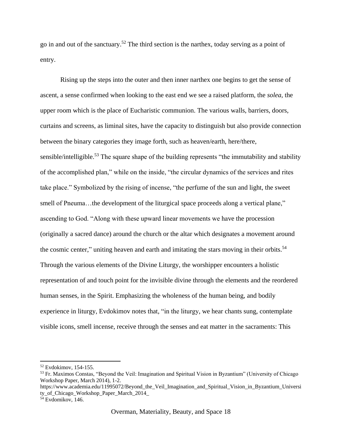go in and out of the sanctuary.<sup>52</sup> The third section is the narthex, today serving as a point of entry.

Rising up the steps into the outer and then inner narthex one begins to get the sense of ascent, a sense confirmed when looking to the east end we see a raised platform, the *solea*, the upper room which is the place of Eucharistic communion. The various walls, barriers, doors, curtains and screens, as liminal sites, have the capacity to distinguish but also provide connection between the binary categories they image forth, such as heaven/earth, here/there, sensible/intelligible.<sup>53</sup> The square shape of the building represents "the immutability and stability of the accomplished plan," while on the inside, "the circular dynamics of the services and rites take place." Symbolized by the rising of incense, "the perfume of the sun and light, the sweet smell of Pneuma...the development of the liturgical space proceeds along a vertical plane," ascending to God. "Along with these upward linear movements we have the procession (originally a sacred dance) around the church or the altar which designates a movement around the cosmic center," uniting heaven and earth and imitating the stars moving in their orbits.<sup>54</sup> Through the various elements of the Divine Liturgy, the worshipper encounters a holistic representation of and touch point for the invisible divine through the elements and the reordered human senses, in the Spirit. Emphasizing the wholeness of the human being, and bodily experience in liturgy, Evdokimov notes that, "in the liturgy, we hear chants sung, contemplate visible icons, smell incense, receive through the senses and eat matter in the sacraments: This

<sup>52</sup> Evdokimov, 154-155.

<sup>53</sup> Fr. Maximos Constas, "Beyond the Veil: Imagination and Spiritual Vision in Byzantium" (University of Chicago Workshop Paper, March 2014), 1-2.

https://www.academia.edu/11995072/Beyond the Veil Imagination and Spiritual Vision in Byzantium Universi ty\_of\_Chicago\_Workshop\_Paper\_March\_2014\_

<sup>&</sup>lt;sup>54</sup> Evdomikov, 146.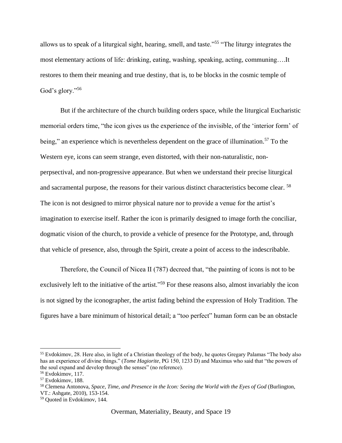allows us to speak of a liturgical sight, hearing, smell, and taste."<sup>55</sup> "The liturgy integrates the most elementary actions of life: drinking, eating, washing, speaking, acting, communing….It restores to them their meaning and true destiny, that is, to be blocks in the cosmic temple of God's glory."<sup>56</sup>

But if the architecture of the church building orders space, while the liturgical Eucharistic memorial orders time, "the icon gives us the experience of the invisible, of the 'interior form' of being," an experience which is nevertheless dependent on the grace of illumination.<sup>57</sup> To the Western eye, icons can seem strange, even distorted, with their non-naturalistic, nonperpsectival, and non-progressive appearance. But when we understand their precise liturgical and sacramental purpose, the reasons for their various distinct characteristics become clear. <sup>58</sup> The icon is not designed to mirror physical nature nor to provide a venue for the artist's imagination to exercise itself. Rather the icon is primarily designed to image forth the conciliar, dogmatic vision of the church, to provide a vehicle of presence for the Prototype, and, through that vehicle of presence, also, through the Spirit, create a point of access to the indescribable.

Therefore, the Council of Nicea II (787) decreed that, "the painting of icons is not to be exclusively left to the initiative of the artist."<sup>59</sup> For these reasons also, almost invariably the icon is not signed by the iconographer, the artist fading behind the expression of Holy Tradition. The figures have a bare minimum of historical detail; a "too perfect" human form can be an obstacle

<sup>55</sup> Evdokimov, 28. Here also, in light of a Christian theology of the body, he quotes Gregary Palamas "The body also has an experience of divine things." (*Tome Hagiorite*, PG 150, 1233 D) and Maximus who said that "the powers of the soul expand and develop through the senses" (no reference).

<sup>56</sup> Evdokimov, 117.

<sup>57</sup> Evdokimov, 188.

<sup>58</sup> Clemena Antonova, *Space, Time, and Presence in the Icon: Seeing the World with the Eyes of God* (Burlington, VT.: Ashgate, 2010), 153-154.

<sup>59</sup> Quoted in Evdokimov, 144.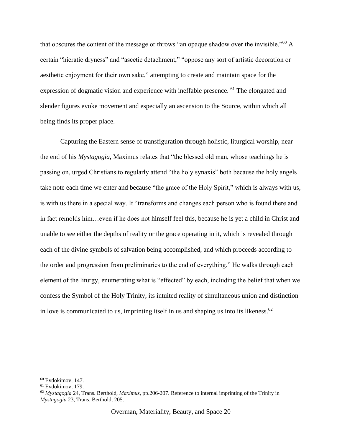that obscures the content of the message or throws "an opaque shadow over the invisible."<sup>60</sup> A certain "hieratic dryness" and "ascetic detachment," "oppose any sort of artistic decoration or aesthetic enjoyment for their own sake," attempting to create and maintain space for the expression of dogmatic vision and experience with ineffable presence. <sup>61</sup> The elongated and slender figures evoke movement and especially an ascension to the Source, within which all being finds its proper place.

Capturing the Eastern sense of transfiguration through holistic, liturgical worship, near the end of his *Mystagogia*, Maximus relates that "the blessed old man, whose teachings he is passing on, urged Christians to regularly attend "the holy synaxis" both because the holy angels take note each time we enter and because "the grace of the Holy Spirit," which is always with us, is with us there in a special way. It "transforms and changes each person who is found there and in fact remolds him…even if he does not himself feel this, because he is yet a child in Christ and unable to see either the depths of reality or the grace operating in it, which is revealed through each of the divine symbols of salvation being accomplished, and which proceeds according to the order and progression from preliminaries to the end of everything." He walks through each element of the liturgy, enumerating what is "effected" by each, including the belief that when we confess the Symbol of the Holy Trinity, its intuited reality of simultaneous union and distinction in love is communicated to us, imprinting itself in us and shaping us into its likeness.<sup>62</sup>

<sup>60</sup> Evdokimov, 147.

<sup>61</sup> Evdokimov, 179.

<sup>62</sup> *Mystagogia* 24, Trans. Berthold, *Maximus*, pp.206-207. Reference to internal imprinting of the Trinity in *Mystagogia* 23, Trans. Berthold, 205.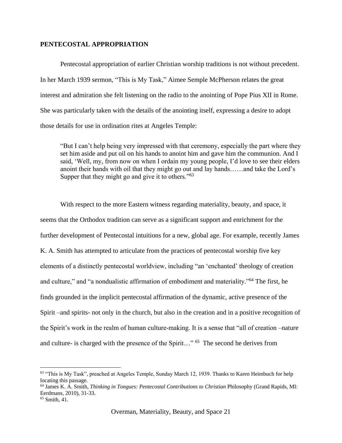#### **PENTECOSTAL APPROPRIATION**

Pentecostal appropriation of earlier Christian worship traditions is not without precedent. In her March 1939 sermon, "This is My Task," Aimee Semple McPherson relates the great interest and admiration she felt listening on the radio to the anointing of Pope Pius XII in Rome. She was particularly taken with the details of the anointing itself, expressing a desire to adopt those details for use in ordination rites at Angeles Temple:

"But I can't help being very impressed with that ceremony, especially the part where they set him aside and put oil on his hands to anoint him and gave him the communion. And I said, 'Well, my, from now on when I ordain my young people, I'd love to see their elders anoint their hands with oil that they might go out and lay hands……and take the Lord's Supper that they might go and give it to others."<sup>63</sup>

With respect to the more Eastern witness regarding materiality, beauty, and space, it seems that the Orthodox tradition can serve as a significant support and enrichment for the further development of Pentecostal intuitions for a new, global age. For example, recently James K. A. Smith has attempted to articulate from the practices of pentecostal worship five key elements of a distinctly pentecostal worldview, including "an 'enchanted' theology of creation and culture," and "a nondualistic affirmation of embodiment and materiality."<sup>64</sup> The first, he finds grounded in the implicit pentecostal affirmation of the dynamic, active presence of the Spirit –and spirits- not only in the church, but also in the creation and in a positive recognition of the Spirit's work in the realm of human culture-making. It is a sense that "all of creation –nature and culture- is charged with the presence of the Spirit..." <sup>65</sup> The second he derives from

<sup>&</sup>lt;sup>63</sup> "This is My Task", preached at Angeles Temple, Sunday March 12, 1939. Thanks to Karen Heimbuch for help locating this passage.

<sup>64</sup> James K. A. Smith, *Thinking in Tongues: Pentecostal Contributions to Christian* Philosophy (Grand Rapids, MI: Eerdmans, 2010), 31-33.

 $65$  Smith, 41.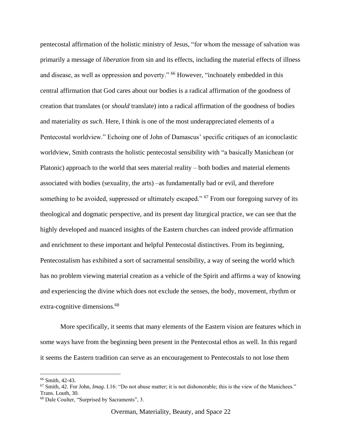pentecostal affirmation of the holistic ministry of Jesus, "for whom the message of salvation was primarily a message of *liberation* from sin and its effects, including the material effects of illness and disease, as well as oppression and poverty." <sup>66</sup> However, "inchoately embedded in this central affirmation that God cares about our bodies is a radical affirmation of the goodness of creation that translates (or *should* translate) into a radical affirmation of the goodness of bodies and materiality *as such*. Here, I think is one of the most underappreciated elements of a Pentecostal worldview." Echoing one of John of Damascus' specific critiques of an iconoclastic worldview, Smith contrasts the holistic pentecostal sensibility with "a basically Manichean (or Platonic) approach to the world that sees material reality – both bodies and material elements associated with bodies (sexuality, the arts) –as fundamentally bad or evil, and therefore something to be avoided, suppressed or ultimately escaped." <sup>67</sup> From our foregoing survey of its theological and dogmatic perspective, and its present day liturgical practice, we can see that the highly developed and nuanced insights of the Eastern churches can indeed provide affirmation and enrichment to these important and helpful Pentecostal distinctives. From its beginning, Pentecostalism has exhibited a sort of sacramental sensibility, a way of seeing the world which has no problem viewing material creation as a vehicle of the Spirit and affirms a way of knowing and experiencing the divine which does not exclude the senses, the body, movement, rhythm or extra-cognitive dimensions.<sup>68</sup>

More specifically, it seems that many elements of the Eastern vision are features which in some ways have from the beginning been present in the Pentecostal ethos as well. In this regard it seems the Eastern tradition can serve as an encouragement to Pentecostals to not lose them

<sup>66</sup> Smith, 42-43.

<sup>67</sup> Smith, 42. For John, *Imag*. I.16: "Do not abuse matter; it is not dishonorable; this is the view of the Manichees." Trans. Louth, 30.

<sup>68</sup> Dale Coulter, "Surprised by Sacraments", 3.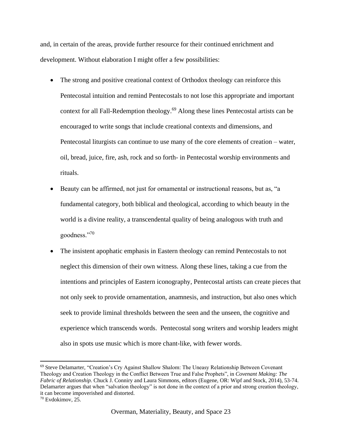and, in certain of the areas, provide further resource for their continued enrichment and development. Without elaboration I might offer a few possibilities:

- The strong and positive creational context of Orthodox theology can reinforce this Pentecostal intuition and remind Pentecostals to not lose this appropriate and important context for all Fall-Redemption theology.<sup>69</sup> Along these lines Pentecostal artists can be encouraged to write songs that include creational contexts and dimensions, and Pentecostal liturgists can continue to use many of the core elements of creation – water, oil, bread, juice, fire, ash, rock and so forth- in Pentecostal worship environments and rituals.
- Beauty can be affirmed, not just for ornamental or instructional reasons, but as, "a fundamental category, both biblical and theological, according to which beauty in the world is a divine reality, a transcendental quality of being analogous with truth and goodness."70
- The insistent apophatic emphasis in Eastern theology can remind Pentecostals to not neglect this dimension of their own witness. Along these lines, taking a cue from the intentions and principles of Eastern iconography, Pentecostal artists can create pieces that not only seek to provide ornamentation, anamnesis, and instruction, but also ones which seek to provide liminal thresholds between the seen and the unseen, the cognitive and experience which transcends words. Pentecostal song writers and worship leaders might also in spots use music which is more chant-like, with fewer words.

<sup>69</sup> Steve Delamarter, "Creation's Cry Against Shallow Shalom: The Uneasy Relationship Between Covenant Theology and Creation Theology in the Conflict Between True and False Prophets", in *Covenant Making: The Fabric of Relationship.* Chuck J. Conniry and Laura Simmons, editors (Eugene, OR: Wipf and Stock, 2014), 53-74. Delamarter argues that when "salvation theology" is not done in the context of a prior and strong creation theology, it can become impoverished and distorted.

<sup>70</sup> Evdokimov, 25.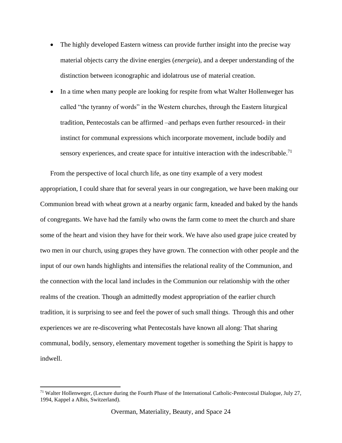- The highly developed Eastern witness can provide further insight into the precise way material objects carry the divine energies (*energeia*), and a deeper understanding of the distinction between iconographic and idolatrous use of material creation.
- In a time when many people are looking for respite from what Walter Hollenweger has called "the tyranny of words" in the Western churches, through the Eastern liturgical tradition, Pentecostals can be affirmed –and perhaps even further resourced- in their instinct for communal expressions which incorporate movement, include bodily and sensory experiences, and create space for intuitive interaction with the indescribable.<sup>71</sup>

From the perspective of local church life, as one tiny example of a very modest appropriation, I could share that for several years in our congregation, we have been making our Communion bread with wheat grown at a nearby organic farm, kneaded and baked by the hands of congregants. We have had the family who owns the farm come to meet the church and share some of the heart and vision they have for their work. We have also used grape juice created by two men in our church, using grapes they have grown. The connection with other people and the input of our own hands highlights and intensifies the relational reality of the Communion, and the connection with the local land includes in the Communion our relationship with the other realms of the creation. Though an admittedly modest appropriation of the earlier church tradition, it is surprising to see and feel the power of such small things. Through this and other experiences we are re-discovering what Pentecostals have known all along: That sharing communal, bodily, sensory, elementary movement together is something the Spirit is happy to indwell.

<sup>71</sup> Walter Hollenweger, (Lecture during the Fourth Phase of the International Catholic-Pentecostal Dialogue, July 27, 1994, Kappel a Albis, Switzerland).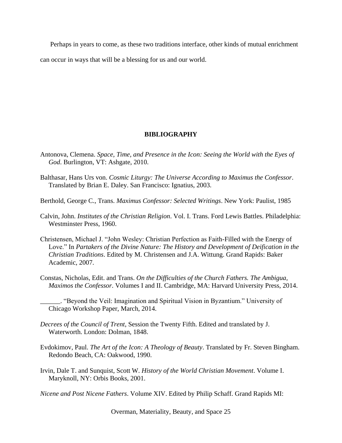Perhaps in years to come, as these two traditions interface, other kinds of mutual enrichment

can occur in ways that will be a blessing for us and our world.

#### **BIBLIOGRAPHY**

- Antonova, Clemena. *Space, Time, and Presence in the Icon: Seeing the World with the Eyes of God*. Burlington, VT: Ashgate, 2010.
- Balthasar, Hans Urs von. *Cosmic Liturgy: The Universe According to Maximus the Confessor*. Translated by Brian E. Daley. San Francisco: Ignatius, 2003.
- Berthold, George C., Trans. *Maximus Confessor: Selected Writings*. New York: Paulist, 1985
- Calvin, John. *Institutes of the Christian Religion*. Vol. I. Trans. Ford Lewis Battles. Philadelphia: Westminster Press, 1960.
- Christensen, Michael J. "John Wesley: Christian Perfection as Faith-Filled with the Energy of Love." In *Partakers of the Divine Nature: The History and Development of Deification in the Christian Traditions*. Edited by M. Christensen and J.A. Wittung. Grand Rapids: Baker Academic, 2007.
- Constas, Nicholas, Edit. and Trans. *On the Difficulties of the Church Fathers. The Ambigua, Maximos the Confessor*. Volumes I and II. Cambridge, MA: Harvard University Press, 2014.

- *Decrees of the Council of Trent*, Session the Twenty Fifth. Edited and translated by J. Waterworth. London: Dolman, 1848.
- Evdokimov, Paul. *The Art of the Icon: A Theology of Beauty*. Translated by Fr. Steven Bingham. Redondo Beach, CA: Oakwood, 1990.
- Irvin, Dale T. and Sunquist, Scott W. *History of the World Christian Movement*. Volume I. Maryknoll, NY: Orbis Books, 2001.

*Nicene and Post Nicene Fathers*. Volume XIV. Edited by Philip Schaff. Grand Rapids MI:

Overman, Materiality, Beauty, and Space 25

\_\_\_\_\_\_. "Beyond the Veil: Imagination and Spiritual Vision in Byzantium." University of Chicago Workshop Paper, March, 2014.